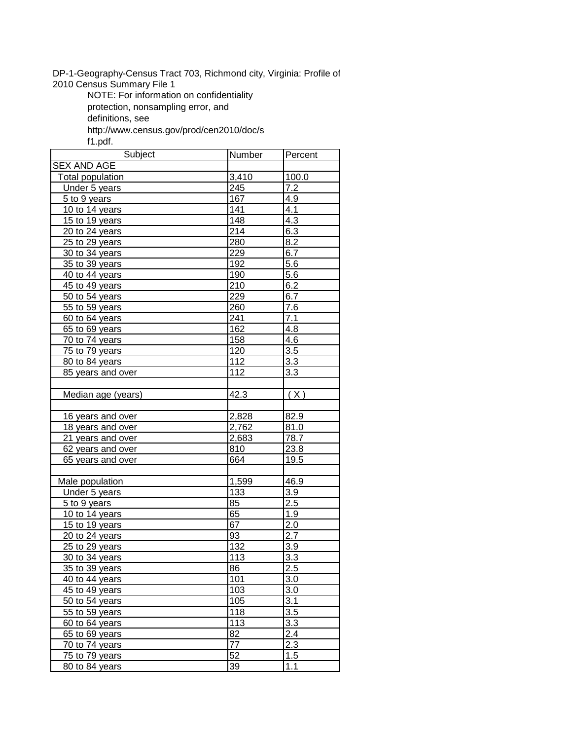DP-1-Geography-Census Tract 703, Richmond city, Virginia: Profile of

2010 Census Summary File 1

NOTE: For information on confidentiality

protection, nonsampling error, and

definitions, see

http://www.census.gov/prod/cen2010/doc/s

f1.pdf.

| Subject                   | Number           | Percent |
|---------------------------|------------------|---------|
| <b>SEX AND AGE</b>        |                  |         |
| <b>Total population</b>   | 3,410            | 100.0   |
| Under 5 years             | $\overline{245}$ | 7.2     |
| $\overline{5}$ to 9 years | 167              | 4.9     |
| 10 to 14 years            | 141              | 4.1     |
| 15 to 19 years            | 148              | 4.3     |
| 20 to 24 years            | $\overline{214}$ | 6.3     |
| 25 to 29 years            | 280              | 8.2     |
| 30 to 34 years            | 229              | 6.7     |
| 35 to 39 years            | 192              | 5.6     |
| 40 to 44 years            | 190              | 5.6     |
| 45 to 49 years            | 210              | 6.2     |
| 50 to 54 years            | 229              | 6.7     |
| 55 to 59 years            | 260              | 7.6     |
| 60 to 64 years            | 241              | 7.1     |
| 65 to 69 years            | 162              | 4.8     |
| 70 to 74 years            | 158              | 4.6     |
| 75 to 79 years            | 120              | 3.5     |
| 80 to 84 years            | 112              | 3.3     |
| 85 years and over         | 112              | 3.3     |
|                           |                  |         |
| Median age (years)        | 42.3             | (X)     |
|                           |                  |         |
| 16 years and over         | 2,828            | 82.9    |
| 18 years and over         | 2,762            | 81.0    |
| 21 years and over         | 2,683            | 78.7    |
| 62 years and over         | 810              | 23.8    |
| 65 years and over         | 664              | 19.5    |
|                           |                  |         |
| Male population           | 1,599            | 46.9    |
| Under 5 years             | <u>133</u>       | 3.9     |
| 5 to 9 years              | 85               | 2.5     |
| 10 to 14 years            | 65               | 1.9     |
| 15 to 19 years            | 67               | 2.0     |
| 20 to 24 years            | 93               | 2.7     |
| 25 to 29 years            | 132              | 3.9     |
| 30 to 34 years            | 113              | 3.3     |
| 35 to 39 years            | $\overline{86}$  | 2.5     |
| 40 to 44 years            | 101              | 3.0     |
| 45 to 49 years            | 103              | 3.0     |
| 50 to 54 years            | 105              | 3.1     |
| 55 to 59 years            | 118              | 3.5     |
| 60 to 64 years            | 113              | 3.3     |
| 65 to 69 years            | 82               | 2.4     |
| 70 to 74 years            | 77               | 2.3     |
| 75 to 79 years            | 52               | 1.5     |
| 80 to 84 years            | 39               | 1.1     |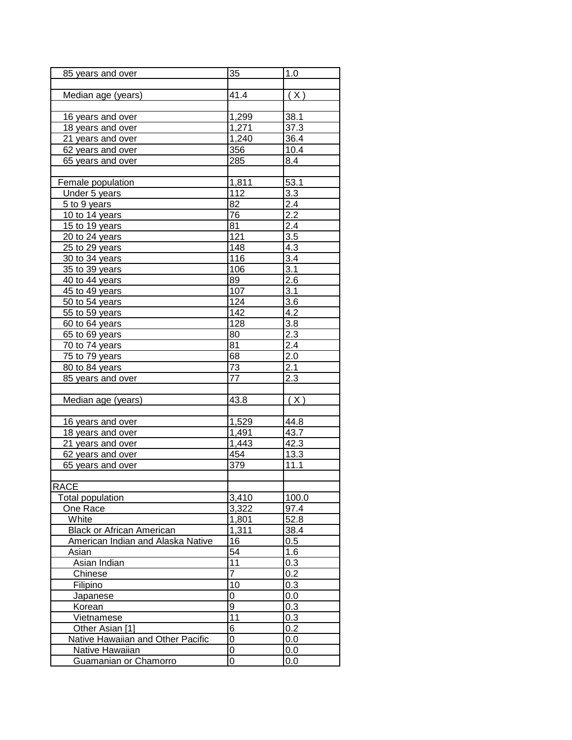| 85 years and over                 | 35               | 1.0              |
|-----------------------------------|------------------|------------------|
|                                   |                  |                  |
| Median age (years)                | 41.4             | (X)              |
|                                   |                  |                  |
| 16 years and over                 | 1,299            | 38.1             |
| 18 years and over                 | 1,271            | 37.3             |
| 21 years and over                 | 1,240            | 36.4             |
| 62 years and over                 | 356              | 10.4             |
| 65 years and over                 | 285              | 8.4              |
|                                   |                  |                  |
| Female population                 | 1,811            | 53.1             |
| Under 5 years                     | 112              | 3.3              |
| 5 to 9 years                      | 82               | 2.4              |
| 10 to 14 years                    | 76               | $2.\overline{2}$ |
| 15 to 19 years                    | 81               | 2.4              |
| 20 to 24 years                    | 121              | 3.5              |
| 25 to 29 years                    | 148              | 4.3              |
| 30 to 34 years                    | 116              | $\overline{3.4}$ |
| 35 to 39 years                    | 106              | 3.1              |
| 40 to 44 years                    | 89               | 2.6              |
| 45 to 49 years                    | 107              | $3.\overline{1}$ |
| 50 to 54 years                    | 124              | 3.6              |
| 55 to 59 years                    | $\overline{142}$ | 4.2              |
| 60 to 64 years                    | 128              | 3.8              |
| 65 to 69 years                    | 80               | 2.3              |
| 70 to 74 years                    | $\overline{81}$  | 2.4              |
| 75 to 79 years                    | 68               | 2.0              |
| 80 to 84 years                    | $\overline{7}3$  | 2.1              |
| 85 years and over                 | 77               | 2.3              |
|                                   |                  |                  |
| Median age (years)                | 43.8             | (X)              |
|                                   |                  |                  |
| 16 years and over                 | 1,529            | 44.8             |
| 18 years and over                 | 1,491            | 43.7             |
| 21 years and over                 | 1,443            | 42.3             |
| 62 years and over                 | 454              | 13.3             |
| 65 years and over                 | 379              | 11.1             |
|                                   |                  |                  |
| <b>RACE</b>                       |                  |                  |
| <b>Total population</b>           | 3,410            | 100.0            |
| One Race                          | 3,322            | 97.4             |
| White                             | 1,801            | 52.8             |
| <b>Black or African American</b>  | 1,311            | 38.4             |
| American Indian and Alaska Native | 16               | 0.5              |
| Asian                             | 54               | 1.6              |
| Asian Indian                      | 11               | 0.3              |
| Chinese                           | 7                | 0.2              |
| Filipino                          | 10               | $0.\overline{3}$ |
| Japanese                          | 0                | 0.0              |
| Korean                            | $\overline{9}$   | 0.3              |
| Vietnamese                        | $\overline{11}$  | 0.3              |
| Other Asian [1]                   | 6                | 0.2              |
| Native Hawaiian and Other Pacific | $\overline{0}$   | 0.0              |
| Native Hawaiian                   | $\mathbf 0$      | 0.0              |
| Guamanian or Chamorro             | $\overline{0}$   | 0.0              |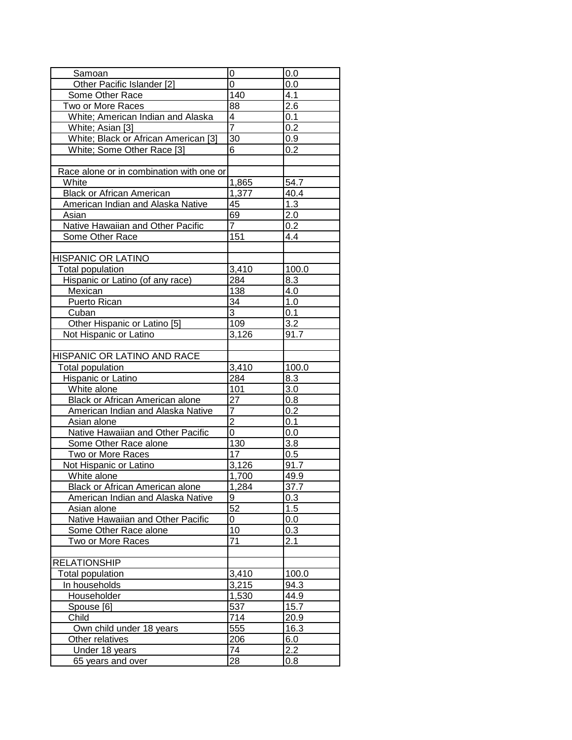| Samoan                                   | 0                       | 0.0              |
|------------------------------------------|-------------------------|------------------|
| Other Pacific Islander [2]               | $\overline{0}$          | 0.0              |
| Some Other Race                          | 140                     | 4.1              |
| Two or More Races                        | 88                      | 2.6              |
| White; American Indian and Alaska        | $\overline{\mathbf{4}}$ | 0.1              |
| White; Asian [3]                         | $\overline{7}$          | 0.2              |
| White; Black or African American [3]     | $\overline{30}$         | 0.9              |
| White; Some Other Race [3]               | 6                       | 0.2              |
|                                          |                         |                  |
| Race alone or in combination with one or |                         |                  |
| White                                    | 1,865                   | 54.7             |
| <b>Black or African American</b>         | 1,377                   | 40.4             |
| American Indian and Alaska Native        | 45                      | 1.3              |
| Asian                                    | 69                      | 2.0              |
| Native Hawaiian and Other Pacific        | $\overline{7}$          | 0.2              |
| Some Other Race                          | 151                     | 4.4              |
|                                          |                         |                  |
| <b>HISPANIC OR LATINO</b>                |                         |                  |
| <b>Total population</b>                  | 3,410                   | 100.0            |
| Hispanic or Latino (of any race)         | 284                     | 8.3              |
| Mexican                                  | 138                     | 4.0              |
| Puerto Rican                             | 34                      | 1.0              |
| Cuban                                    | $\overline{3}$          | 0.1              |
| Other Hispanic or Latino [5]             | 109                     | 3.2              |
| Not Hispanic or Latino                   | 3,126                   | 91.7             |
|                                          |                         |                  |
| HISPANIC OR LATINO AND RACE              |                         |                  |
| <b>Total population</b>                  | 3,410                   | 100.0            |
| Hispanic or Latino                       | 284                     | 8.3              |
| White alone                              | 101                     | 3.0              |
| Black or African American alone          | 27                      | 0.8              |
| American Indian and Alaska Native        | 7                       | 0.2              |
| Asian alone                              | $\overline{2}$          | 0.1              |
| Native Hawaiian and Other Pacific        | 0                       | $0.\overline{0}$ |
| Some Other Race alone                    | $\frac{1}{130}$         | 3.8              |
| Two or More Races                        | 17                      | 0.5              |
| Not Hispanic or Latino                   | 3,126                   | 91.7             |
| White alone                              | 1,700                   | 49.9             |
| <b>Black or African American alone</b>   | 1,284                   | 37.7             |
| American Indian and Alaska Native        | 9                       | 0.3              |
| Asian alone                              | 52                      | 1.5              |
| Native Hawaiian and Other Pacific        | 0                       | 0.0              |
| Some Other Race alone                    | $\overline{10}$         | 0.3              |
| Two or More Races                        | 71                      | 2.1              |
|                                          |                         |                  |
| RELATIONSHIP                             |                         |                  |
| Total population                         | 3,410                   | 100.0            |
| In households                            | 3,215                   | 94.3             |
| Householder                              | 1,530                   | 44.9             |
| Spouse [6]                               | 537                     | 15.7             |
| Child                                    | $\overline{714}$        | 20.9             |
| Own child under 18 years                 | 555                     | 16.3             |
| Other relatives                          | 206                     | 6.0              |
| Under 18 years                           | 74                      | 2.2              |
| 65 years and over                        | 28                      | 0.8              |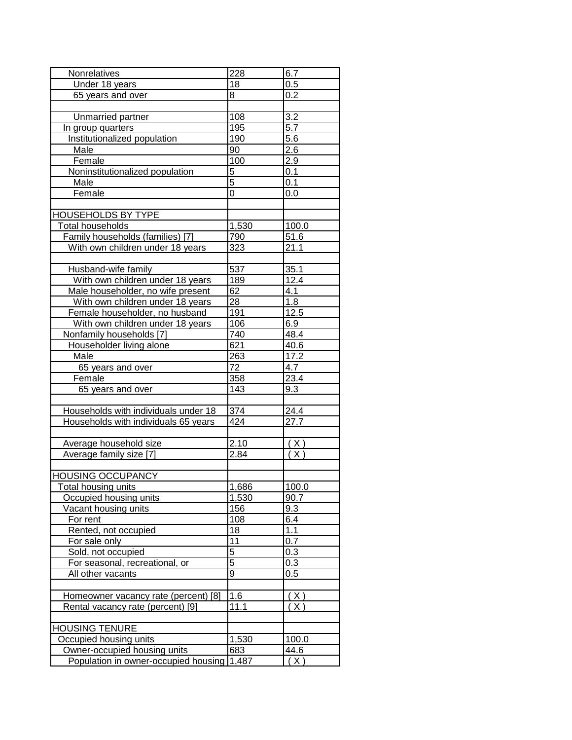| Nonrelatives                               | 228             | 6.7          |
|--------------------------------------------|-----------------|--------------|
| Under 18 years                             | 18              | 0.5          |
| 65 years and over                          | 8               | 0.2          |
|                                            |                 |              |
| Unmarried partner                          | 108             | 3.2          |
| In group quarters                          | 195             | 5.7          |
| Institutionalized population               | 190             | 5.6          |
| Male                                       | 90              | 2.6          |
| Female                                     | 100             | 2.9          |
| Noninstitutionalized population            | 5               | 0.1          |
| Male                                       | $\overline{5}$  | 0.1          |
| Female                                     | 0               | 0.0          |
|                                            |                 |              |
| <b>HOUSEHOLDS BY TYPE</b>                  |                 |              |
| Total households                           | 1,530           | 100.0        |
| Family households (families) [7]           | 790             | 51.6         |
| With own children under 18 years           | 323             | 21.1         |
|                                            |                 |              |
| Husband-wife family                        | 537             | 35.1         |
| With own children under 18 years           | 189             | 12.4         |
| Male householder, no wife present          | 62              | 4.1          |
| With own children under 18 years           | $\overline{28}$ | 1.8          |
|                                            | 191             | 12.5         |
| Female householder, no husband             |                 |              |
| With own children under 18 years           | 106             | 6.9          |
| Nonfamily households [7]                   | 740             | 48.4         |
| Householder living alone                   | 621             | 40.6         |
| Male                                       | 263             | 17.2         |
| 65 years and over                          | 72              | 4.7          |
| Female                                     | 358             | 23.4         |
| 65 years and over                          | 143             | 9.3          |
|                                            |                 |              |
| Households with individuals under 18       | 374             | 24.4         |
| Households with individuals 65 years       | 424             | 27.7         |
|                                            |                 |              |
| Average household size                     | 2.10            | $\lambda$    |
| Average family size [7]                    | 2.84            | (X)          |
|                                            |                 |              |
| <b>HOUSING OCCUPANCY</b>                   |                 |              |
| Total housing units                        | 1,686           | 100.0        |
| Occupied housing units                     | 1,530           | 90.7         |
| Vacant housing units                       | 156             | 9.3          |
| For rent                                   | 108             | 6.4          |
| Rented, not occupied                       | 18              | 1.1          |
| For sale only                              | 11              | 0.7          |
| Sold, not occupied                         | $\overline{5}$  | 0.3          |
| For seasonal, recreational, or             | 5               | 0.3          |
| All other vacants                          | 9               | 0.5          |
|                                            |                 |              |
| Homeowner vacancy rate (percent) [8]       | 1.6             | X            |
| Rental vacancy rate (percent) [9]          | 11.1            | $X^{\prime}$ |
|                                            |                 |              |
| <b>HOUSING TENURE</b>                      |                 |              |
| Occupied housing units                     | 1,530           | 100.0        |
| Owner-occupied housing units               | 683             | 44.6         |
| Population in owner-occupied housing 1,487 |                 | (X)          |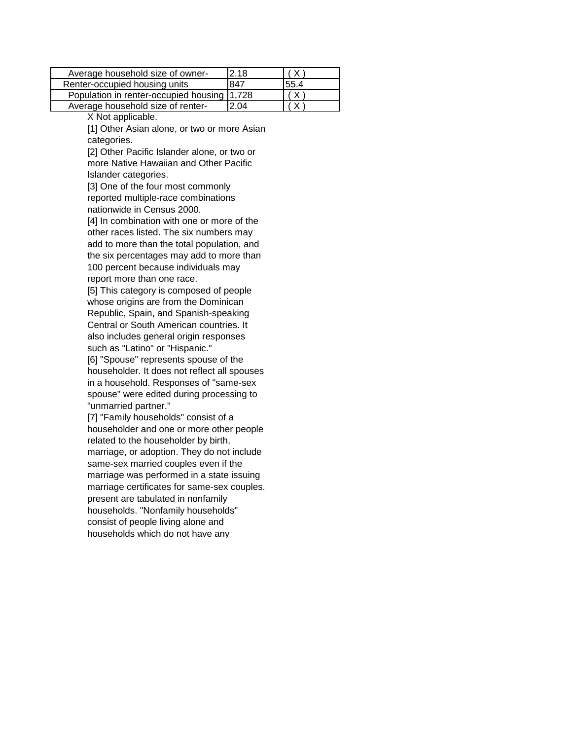| Average household size of owner-            | I2.18 |       |
|---------------------------------------------|-------|-------|
| Renter-occupied housing units               | 847   | 155.4 |
| Population in renter-occupied housing 1,728 |       |       |
| Average household size of renter-           | l2 04 |       |

X Not applicable.

[1] Other Asian alone, or two or more Asian categories.

[2] Other Pacific Islander alone, or two or more Native Hawaiian and Other Pacific Islander categories.

[3] One of the four most commonly reported multiple-race combinations nationwide in Census 2000.

[4] In combination with one or more of the other races listed. The six numbers may add to more than the total population, and the six percentages may add to more than 100 percent because individuals may report more than one race.

[5] This category is composed of people whose origins are from the Dominican Republic, Spain, and Spanish-speaking Central or South American countries. It also includes general origin responses such as "Latino" or "Hispanic."

[6] "Spouse" represents spouse of the householder. It does not reflect all spouses in a household. Responses of "same-sex spouse" were edited during processing to "unmarried partner."

[7] "Family households" consist of a householder and one or more other people related to the householder by birth, marriage, or adoption. They do not include same-sex married couples even if the marriage was performed in a state issuing marriage certificates for same-sex couples. present are tabulated in nonfamily households. "Nonfamily households" consist of people living alone and households which do not have any